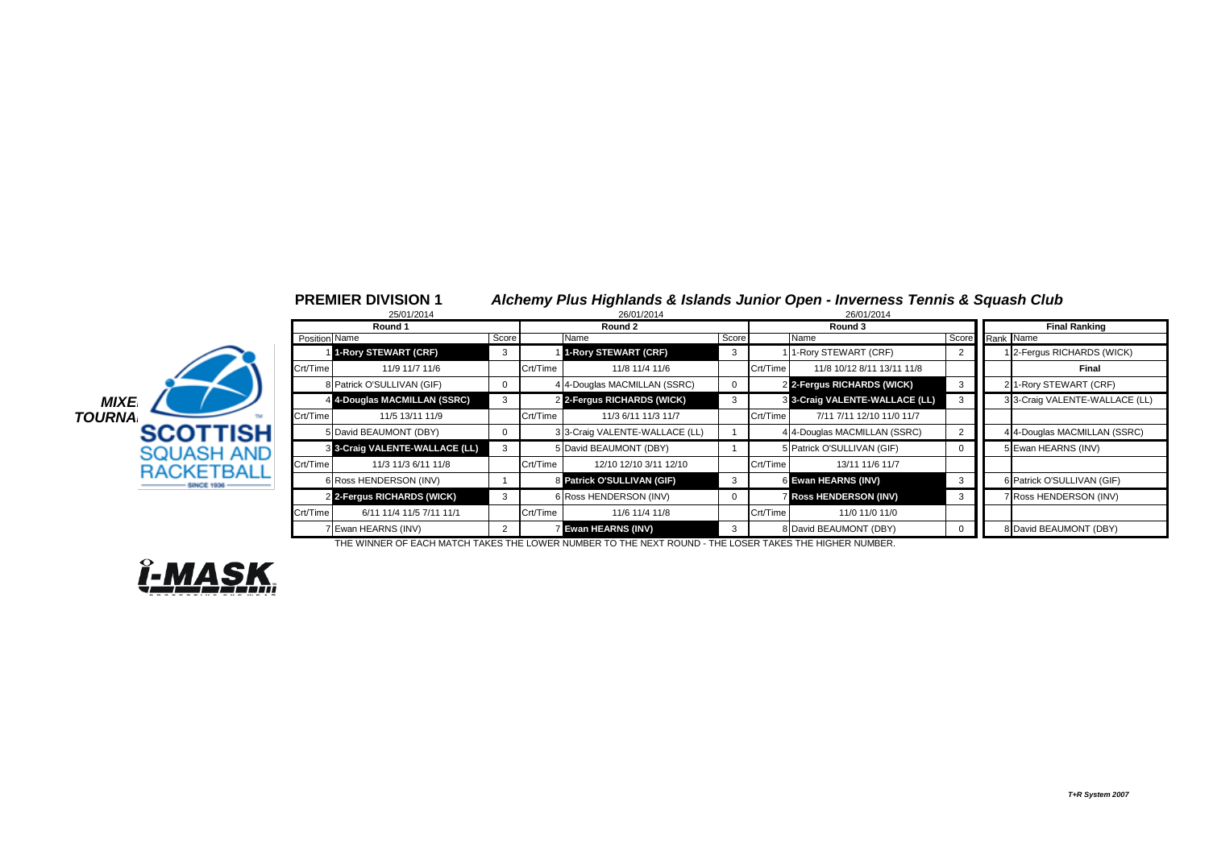|               |                          |               | 25/01/2014                     |          |          | 26/01/2014                     |       |          | 26/01/2014                     |   |                 |                                |
|---------------|--------------------------|---------------|--------------------------------|----------|----------|--------------------------------|-------|----------|--------------------------------|---|-----------------|--------------------------------|
|               |                          |               | Round 1                        |          |          | Round 2                        |       |          | Round 3                        |   |                 | <b>Final Ranking</b>           |
|               |                          | Position Name |                                | Score    |          | Name                           | Score |          | Name                           |   | Score Rank Name |                                |
|               |                          |               | 1-Rory STEWART (CRF)           | 3        |          | 1-Rory STEWART (CRF)           |       |          | 1 1-Rory STEWART (CRF)         |   |                 | 1 2-Fergus RICHARDS (WICK)     |
|               |                          | Crt/Time      | 11/9 11/7 11/6                 |          | Crt/Time | 11/8 11/4 11/6                 |       | Crt/Time | 11/8 10/12 8/11 13/11 11/8     |   |                 | Final                          |
|               |                          |               | 8 Patrick O'SULLIVAN (GIF)     | $\Omega$ |          | 4 4-Douglas MACMILLAN (SSRC)   |       |          | 2 2-Fergus RICHARDS (WICK)     |   |                 | 2 1-Rory STEWART (CRF)         |
| <b>MIXE</b>   |                          |               | 4 4-Douglas MACMILLAN (SSRC)   | 3        |          | 2 2-Fergus RICHARDS (WICK)     |       |          | 8 3-Craig VALENTE-WALLACE (LL) |   |                 | 3 3-Craig VALENTE-WALLACE (LL) |
| <b>TOURNA</b> |                          | Crt/Time      | 11/5 13/11 11/9                |          | Crt/Time | 11/3 6/11 11/3 11/7            |       | Crt/Time | 7/11 7/11 12/10 11/0 11/7      |   |                 |                                |
|               | <b>SCOTTISH</b>          |               | 5 David BEAUMONT (DBY)         | $\Omega$ |          | 3 3-Craig VALENTE-WALLACE (LL) |       |          | 4 4-Douglas MACMILLAN (SSRC)   |   |                 | 4 4-Douglas MACMILLAN (SSRC)   |
|               | <b>SQUASH AND</b>        |               | 8 3-Craig VALENTE-WALLACE (LL) |          |          | 5 David BEAUMONT (DBY)         |       |          | 5 Patrick O'SULLIVAN (GIF)     |   |                 | 5 Ewan HEARNS (INV)            |
|               | <b>RACKETBALL</b>        | Crt/Time      | 11/3 11/3 6/11 11/8            |          | Crt/Time | 12/10 12/10 3/11 12/10         |       | Crt/Time | 13/11 11/6 11/7                |   |                 |                                |
|               | <b><i>SINCE 1936</i></b> |               | 6 Ross HENDERSON (INV)         |          |          | 8 Patrick O'SULLIVAN (GIF)     |       |          | 6 Ewan HEARNS (INV)            | 3 |                 | 6 Patrick O'SULLIVAN (GIF)     |
|               |                          |               | 2 2-Fergus RICHARDS (WICK)     |          |          | 6 Ross HENDERSON (INV)         |       |          | <b>Ross HENDERSON (INV)</b>    |   |                 | 7 Ross HENDERSON (INV)         |
|               |                          | Crt/Time      | 6/11 11/4 11/5 7/11 11/1       |          | Crt/Time | 11/6 11/4 11/8                 |       | Crt/Time | 11/0 11/0 11/0                 |   |                 |                                |
|               |                          |               | 7 Ewan HEARNS (INV)            |          |          | <b>Z</b> Ewan HEARNS (INV)     |       |          | 8 David BEAUMONT (DBY)         |   |                 | 8 David BEAUMONT (DBY)         |

**PREMIER DIVISION 1** *Alchemy Plus Highlands & Islands Junior Open - Inverness Tennis & Squash Club*

THE WINNER OF EACH MATCH TAKES THE LOWER NUMBER TO THE NEXT ROUND - THE LOSER TAKES THE HIGHER NUMBER.

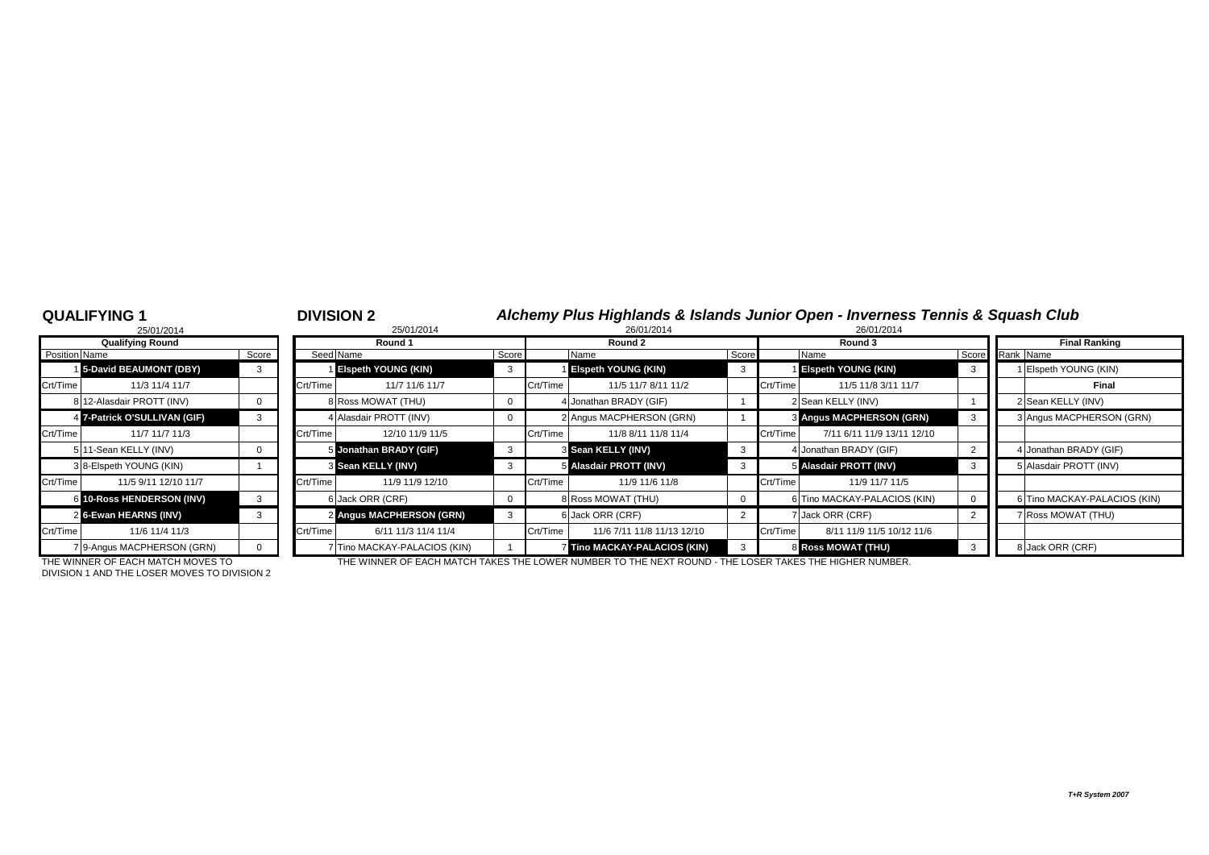### **QUALIFYING 1** <sup>1</sup> **DIVISION 2** *Alchemy Plus Highlands & Islands Junior Open - Inverness Tennis & Squash Club*

|                | 25/01/2014                 |       |
|----------------|----------------------------|-------|
|                | <b>Qualifying Round</b>    |       |
| Position Name  |                            | Score |
| 1 <sup>1</sup> | 5-David BEAUMONT (DBY)     | 3     |
| Crt/Time       | 11/3 11/4 11/7             |       |
|                | 8 12-Alasdair PROTT (INV)  | 0     |
| 4              | 7-Patrick O'SULLIVAN (GIF) | 3     |
| Crt/Time       | 11/7 11/7 11/3             |       |
| 5              | 11-Sean KELLY (INV)        | O     |
|                | 3 8-Elspeth YOUNG (KIN)    |       |
| Crt/Time       | 11/5 9/11 12/10 11/7       |       |
| 6              | 10-Ross HENDERSON (INV)    | 3     |
| 2              | 6-Ewan HEARNS (INV)        | 3     |
| Crt/Time       | 11/6 11/4 11/3             |       |
|                | 7 9-Angus MACPHERSON (GRN) |       |

|               | 25/01/2014                   |       |          | 25/01/2014                   | 26/01/2014 |          |                              |       | 26/01/2014 |                              |                 |                      |                               |
|---------------|------------------------------|-------|----------|------------------------------|------------|----------|------------------------------|-------|------------|------------------------------|-----------------|----------------------|-------------------------------|
|               | <b>Qualifying Round</b>      |       |          | Round 1                      |            |          | Round 2                      |       |            | Round 3                      |                 | <b>Final Ranking</b> |                               |
| Position Name |                              | Score |          | Seed Name                    | Score      |          | Name                         | Score |            | Name                         | Score Rank Name |                      |                               |
|               | 5-David BEAUMONT (DBY)       | 3     |          | <b>Eispeth YOUNG (KIN)</b>   | -3         |          | <b>Elspeth YOUNG (KIN)</b>   |       |            | <b>Elspeth YOUNG (KIN)</b>   |                 |                      | Elspeth YOUNG (KIN)           |
| Crt/Time      | 11/3 11/4 11/7               |       | Crt/Time | 11/7 11/6 11/7               |            | Crt/Time | 11/5 11/7 8/11 11/2          |       | Crt/Time   | 11/5 11/8 3/11 11/7          |                 |                      | Final                         |
|               | 8 12-Alasdair PROTT (INV)    |       |          | 8 Ross MOWAT (THU)           |            |          | 4 Jonathan BRADY (GIF)       |       |            | 2 Sean KELLY (INV)           |                 |                      | 2 Sean KELLY (INV)            |
|               | 4 7-Patrick O'SULLIVAN (GIF) |       |          | 4 Alasdair PROTT (INV)       |            |          | 2 Angus MACPHERSON (GRN)     |       |            | 3 Angus MACPHERSON (GRN)     |                 |                      | 3 Angus MACPHERSON (GRN)      |
| Crt/Time      | 11/7 11/7 11/3               |       | Crt/Time | 12/10 11/9 11/5              |            | Crt/Time | 11/8 8/11 11/8 11/4          |       | Crt/Time   | 7/11 6/11 11/9 13/11 12/10   |                 |                      |                               |
|               | 5 11-Sean KELLY (INV)        |       |          | 5 Jonathan BRADY (GIF)       | -3         |          | 3 Sean KELLY (INV)           |       |            | 4 Jonathan BRADY (GIF)       |                 |                      | <b>I</b> Jonathan BRADY (GIF) |
|               | 3 8-Elspeth YOUNG (KIN)      |       |          | 3 Sean KELLY (INV)           |            |          | 5 Alasdair PROTT (INV)       |       |            | 5 Alasdair PROTT (INV)       |                 |                      | <b>JAlasdair PROTT (INV)</b>  |
| Crt/Time      | 11/5 9/11 12/10 11/7         |       | Crt/Time | 11/9 11/9 12/10              |            | Crt/Time | 11/9 11/6 11/8               |       | Crt/Time   | 11/9 11/7 11/5               |                 |                      |                               |
|               | 6 10-Ross HENDERSON (INV)    | 3     |          | 6 Jack ORR (CRF)             |            |          | 8 Ross MOWAT (THU)           |       |            | 6 Tino MACKAY-PALACIOS (KIN) |                 |                      | 6 Tino MACKAY-PALACIOS (KIN)  |
|               | 2 6-Ewan HEARNS (INV)        |       |          | 2 Angus MACPHERSON (GRN)     |            |          | 6 Jack ORR (CRF)             |       |            | 7 Jack ORR (CRF)             |                 |                      | Ross MOWAT (THU)              |
| Crt/Time      | 11/6 11/4 11/3               |       | Crt/Time | 6/11 11/3 11/4 11/4          |            | Crt/Time | 11/6 7/11 11/8 11/13 12/10   |       | Crt/Time   | 8/11 11/9 11/5 10/12 11/6    |                 |                      |                               |
|               | 79-Angus MACPHERSON (GRN)    |       |          | 7 Tino MACKAY-PALACIOS (KIN) |            |          | 7 Tino MACKAY-PALACIOS (KIN) |       |            | <b>8 Ross MOWAT (THU)</b>    |                 |                      | 8 Jack ORR (CRF)              |
|               |                              |       |          |                              |            |          |                              |       |            |                              |                 |                      |                               |

DIVISION 1 AND THE LOSER MOVES TO DIVISION 2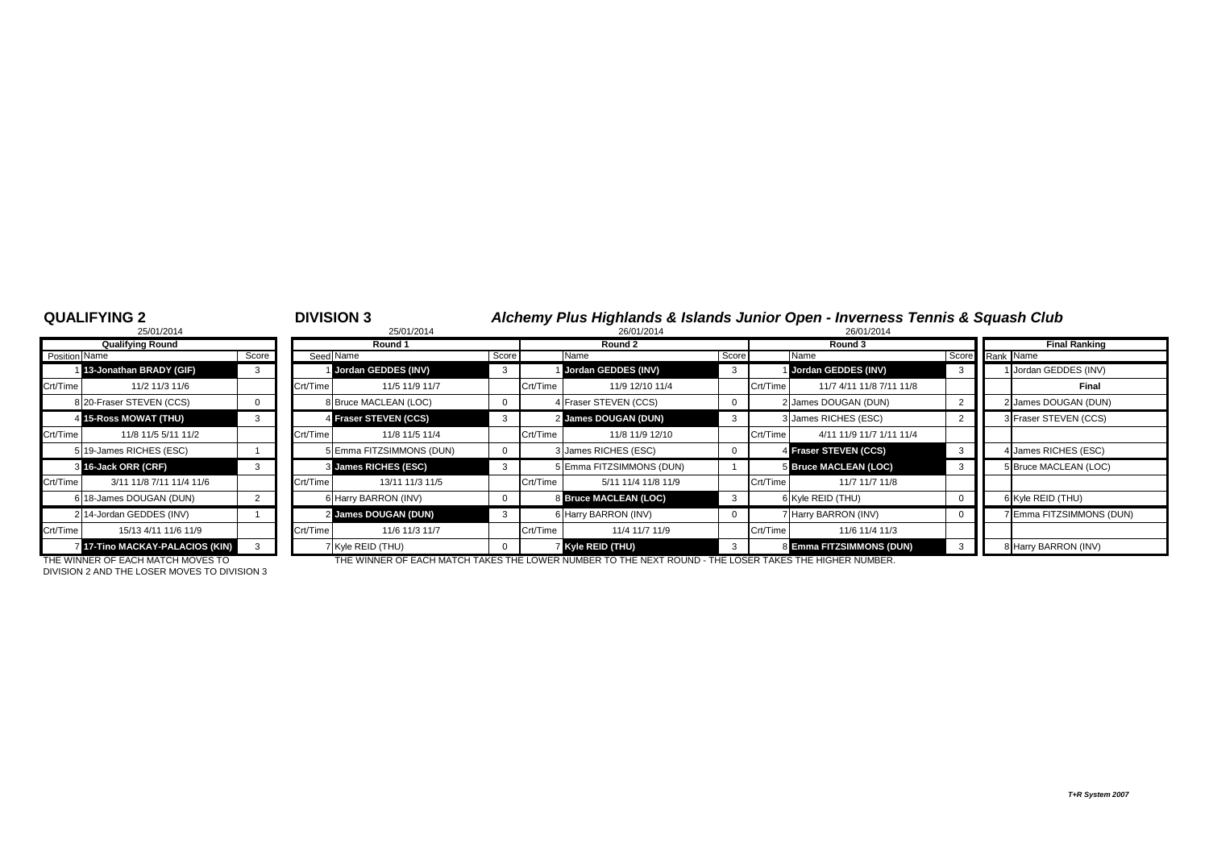# Crt/Time 3/11 11/8 7/11 11/4 11/6 Crt/Time 13/11 11/3 11/5 Crt/Time 5/11 11/4 11/8 11/9 Crt/Time 11/7 11/7 11/8 6 18-James DOUGAN (DUN) 2 2 14-Jordan GEDDES (INV) <sup>3</sup> 1  $\overline{7}$  17-Tino MACKAY-PALACIOS (KIN) 3

|               | <b>QUALIFYING 2</b>                   |       |          | <b>DIVISION 3</b>        |       |          |                          |             |          | Alchemy Plus Highlands & Islands Junior Open - Inverness Tennis & Squash Club |    |                              |
|---------------|---------------------------------------|-------|----------|--------------------------|-------|----------|--------------------------|-------------|----------|-------------------------------------------------------------------------------|----|------------------------------|
|               | 25/01/2014<br><b>Qualifying Round</b> |       |          | 25/01/2014<br>Round 1    |       |          | 26/01/2014<br>Round 2    |             |          | 26/01/2014<br>Round 3                                                         |    | <b>Final Ranking</b>         |
| Position Name |                                       | Score |          | Seed Name                | Score |          | Name                     | Score       |          | Name                                                                          |    | Score Rank Name              |
|               | 13-Jonathan BRADY (GIF)               |       |          | Jordan GEDDES (INV)      |       |          | Jordan GEDDES (INV)      | 3           |          | Jordan GEDDES (INV)                                                           |    | Jordan GEDDES (INV)          |
| Crt/Time      | 11/2 11/3 11/6                        |       | Crt/Time | 11/5 11/9 11/7           |       | Crt/Time | 11/9 12/10 11/4          |             | Crt/Time | 11/7 4/11 11/8 7/11 11/8                                                      |    | Final                        |
|               | 8 20-Fraser STEVEN (CCS)              |       |          | 8 Bruce MACLEAN (LOC)    |       |          | 4 Fraser STEVEN (CCS)    | $\Omega$    |          | 2 James DOUGAN (DUN)                                                          |    | 2 James DOUGAN (DUN)         |
|               | 4 15-Ross MOWAT (THU)                 |       |          | 4 Fraser STEVEN (CCS)    |       |          | 2 James DOUGAN (DUN)     | 3           |          | 3 James RICHES (ESC)                                                          |    | <b>B</b> Fraser STEVEN (CCS) |
| Crt/Time      | 11/8 11/5 5/11 11/2                   |       | Crt/Time | 11/8 11/5 11/4           |       | Crt/Time | 11/8 11/9 12/10          |             | Crt/Time | 4/11 11/9 11/7 1/11 11/4                                                      |    |                              |
|               | 5 19-James RICHES (ESC)               |       |          | 5 Emma FITZSIMMONS (DUN) |       |          | 3 James RICHES (ESC)     | 0           |          | Fraser STEVEN (CCS)                                                           |    | 4 James RICHES (ESC)         |
|               | 3 16-Jack ORR (CRF)                   | 3     |          | 3 James RICHES (ESC)     | 3     |          | 5 Emma FITZSIMMONS (DUN) |             |          | 5 Bruce MACLEAN (LOC)                                                         | -3 | 5 Bruce MACLEAN (LOC)        |
| Crt/Time      | 3/11 11/8 7/11 11/4 11/6              |       | Crt/Time | 13/11 11/3 11/5          |       | Crt/Time | 5/11 11/4 11/8 11/9      |             | Crt/Time | 11/7 11/7 11/8                                                                |    |                              |
|               | 6 18-James DOUGAN (DUN)               |       |          | 6 Harry BARRON (INV)     |       |          | 8 Bruce MACLEAN (LOC)    | 3           |          | 6 Kyle REID (THU)                                                             |    | 6 Kyle REID (THU)            |
|               | 2 14-Jordan GEDDES (INV)              |       |          | 2 James DOUGAN (DUN)     |       |          | 6 Harry BARRON (INV)     | $\mathbf 0$ |          | 7 Harry BARRON (INV)                                                          |    | 7 Emma FITZSIMMONS (DUN)     |
| Crt/Time      | 15/13 4/11 11/6 11/9                  |       | Crt/Time | 11/6 11/3 11/7           |       | Crt/Time | 11/4 11/7 11/9           |             | Crt/Time | 11/6 11/4 11/3                                                                |    |                              |
|               | 17-Tino MACKAY-PALACIOS (KIN)         |       |          | 7 Kyle REID (THU)        |       |          | Kyle REID (THU)          |             |          | 8 Emma FITZSIMMONS (DUN)                                                      |    | 8 Harry BARRON (INV)         |

DIVISION 2 AND THE LOSER MOVES TO DIVISION 3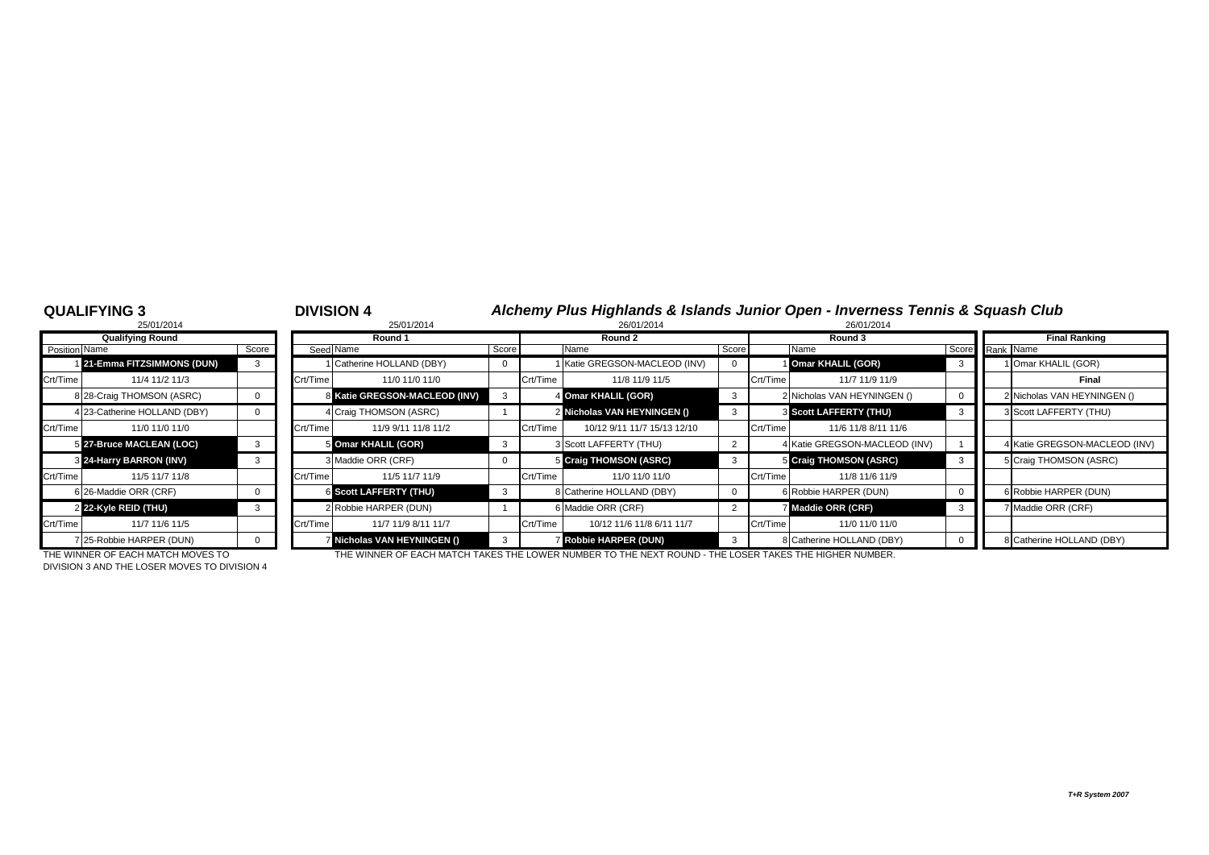### **QUALIFYING 3** <sup>3</sup> **DIVISION 4** *Alchemy Plus Highlands & Islands Junior Open - Inverness Tennis & Squash Club*

|               | 25/01/2014                   |          |          | 25/01/2014                    |       |          | 26/01/2014                    |       |          | 26/01/2014                    |
|---------------|------------------------------|----------|----------|-------------------------------|-------|----------|-------------------------------|-------|----------|-------------------------------|
|               | <b>Qualifying Round</b>      |          |          | Round 1                       |       |          | Round 2                       |       |          | Round 3                       |
| Position Name |                              | Score    |          | Seed Name                     | Score |          | Name                          | Score |          | Name                          |
|               | 21-Emma FITZSIMMONS (DUN)    | 3        |          | Catherine HOLLAND (DBY)       |       |          | I Katie GREGSON-MACLEOD (INV) | 0     |          | 1 Omar KHALIL (GOR)           |
| Crt/Time      | 11/4 11/2 11/3               |          | Crt/Time | 11/0 11/0 11/0                |       | Crt/Time | 11/8 11/9 11/5                |       | Crt/Time | 11/7 11/9 11                  |
|               | 8 28-Craig THOMSON (ASRC)    | 0        |          | 8 Katie GREGSON-MACLEOD (INV) | 3     |          | 4 Omar KHALIL (GOR)           | 3     |          | 2 Nicholas VAN HEYNING        |
|               | 4 23-Catherine HOLLAND (DBY) | $\Omega$ |          | 4 Craig THOMSON (ASRC)        |       |          | 2 Nicholas VAN HEYNINGEN ()   | 3     |          | <b>8 Scott LAFFERTY (THU)</b> |
| Crt/Time      | 11/0 11/0 11/0               |          | Crt/Time | 11/9 9/11 11/8 11/2           |       | Crt/Time | 10/12 9/11 11/7 15/13 12/10   |       | Crt/Time | 11/6 11/8 8/11                |
|               | 5 27-Bruce MACLEAN (LOC)     | 3        |          | 5 Omar KHALIL (GOR)           | 3     |          | 3 Scott LAFFERTY (THU)        | 2     |          | 4 Katie GREGSON-MACL          |
|               | 8 24-Harry BARRON (INV)      | 3        |          | 3 Maddie ORR (CRF)            | 0     |          | 5 Craig THOMSON (ASRC)        | 3     |          | 5 Craig THOMSON (ASR          |
| Crt/Time      | 11/5 11/7 11/8               |          | Crt/Time | 11/5 11/7 11/9                |       | Crt/Time | 11/0 11/0 11/0                |       | Crt/Time | 11/8 11/6 11/                 |
|               | 6 26-Maddie ORR (CRF)        | 0        |          | <b>6 Scott LAFFERTY (THU)</b> | 3     |          | 8 Catherine HOLLAND (DBY)     | 0     |          | 6 Robbie HARPER (DUN)         |
|               | 2 22-Kyle REID (THU)         | 3        |          | 2 Robbie HARPER (DUN)         |       |          | 6 Maddie ORR (CRF)            | 2     |          | 7 Maddie ORR (CRF)            |
| Crt/Time      | 11/7 11/6 11/5               |          | Crt/Time | 11/7 11/9 8/11 11/7           |       | Crt/Time | 10/12 11/6 11/8 6/11 11/7     |       | Crt/Time | 11/0 11/0 11                  |
|               | 7 25-Robbie HARPER (DUN)     | $\Omega$ |          | 7 Nicholas VAN HEYNINGEN ()   | 3     |          | <b>7 Robbie HARPER (DUN)</b>  | 3     |          | 8 Catherine HOLLAND (DI       |

|               | <b>Qualifying Round</b>      |       |          | Round 1                       |       |          | Round 2                          |       |          | Round 3                       |                 | <b>Final Ranking</b>          |
|---------------|------------------------------|-------|----------|-------------------------------|-------|----------|----------------------------------|-------|----------|-------------------------------|-----------------|-------------------------------|
| Position Name |                              | Score |          | Seed Name                     | Score |          | Name                             | Score |          | Name                          | Score Rank Name |                               |
|               | 121-Emma FITZSIMMONS (DUN)   |       |          | 1 Catherine HOLLAND (DBY)     |       |          | Katie GREGSON-MACLEOD (INV)      |       |          | 1 Omar KHALIL (GOR)           |                 | 1 Omar KHALIL (GOR)           |
| Crt/Time      | 11/4 11/2 11/3               |       | Crt/Time | 11/0 11/0 11/0                |       | Crt/Time | 11/8 11/9 11/5                   |       | Crt/Time | 11/7 11/9 11/9                |                 | Final                         |
|               | 8 28-Craig THOMSON (ASRC)    |       |          | 8 Katie GREGSON-MACLEOD (INV) |       |          | 4 Omar KHALIL (GOR)              |       |          | 2 Nicholas VAN HEYNINGEN ()   |                 | 2 Nicholas VAN HEYNINGEN ()   |
|               | 4 23-Catherine HOLLAND (DBY) |       |          | 4 Craig THOMSON (ASRC)        |       |          | 2 Nicholas VAN HEYNINGEN ()      |       |          | <b>3 Scott LAFFERTY (THU)</b> |                 | 3 Scott LAFFERTY (THU)        |
| Crt/Time      | 11/0 11/0 11/0               |       | Crt/Time | 11/9 9/11 11/8 11/2           |       | Crt/Time | 10/12 9/11 11/7 15/13 12/10      |       | Crt/Time | 11/6 11/8 8/11 11/6           |                 |                               |
|               | 5 27-Bruce MACLEAN (LOC)     |       |          | 5 Omar KHALIL (GOR)           | - 3   |          | 3 Scott LAFFERTY (THU)           |       |          | 4 Katie GREGSON-MACLEOD (INV) |                 | 4 Katie GREGSON-MACLEOD (INV) |
|               | 3 24-Harry BARRON (INV)      |       |          | 3 Maddie ORR (CRF)            |       |          | 5 Craig THOMSON (ASRC)           |       |          | 5 Craig THOMSON (ASRC)        |                 | 5 Craig THOMSON (ASRC)        |
| Crt/Time      | 11/5 11/7 11/8               |       | Crt/Time | 11/5 11/7 11/9                |       | Crt/Time | 11/0 11/0 11/0                   |       | Crt/Time | 11/8 11/6 11/9                |                 |                               |
|               | 6 26-Maddie ORR (CRF)        |       |          | <b>6 Scott LAFFERTY (THU)</b> | -3    |          | <b>B</b> Catherine HOLLAND (DBY) |       |          | 6 Robbie HARPER (DUN)         |                 | 6 Robbie HARPER (DUN)         |
|               | 2 22-Kyle REID (THU)         |       |          | 2 Robbie HARPER (DUN)         |       |          | 6 Maddie ORR (CRF)               |       |          | Maddie ORR (CRF)              |                 | 7 Maddie ORR (CRF)            |
| Crt/Time      | 11/7 11/6 11/5               |       | Crt/Time | 11/7 11/9 8/11 11/7           |       | Crt/Time | 10/12 11/6 11/8 6/11 11/7        |       | Crt/Time | 11/0 11/0 11/0                |                 |                               |
|               | 25-Robbie HARPER (DUN)       |       |          | 7 Nicholas VAN HEYNINGEN ()   | -3    |          | <b>Robbie HARPER (DUN)</b>       |       |          | 8 Catherine HOLLAND (DBY)     |                 | 8 Catherine HOLLAND (DBY)     |

DIVISION 3 AND THE LOSER MOVES TO DIVISION 4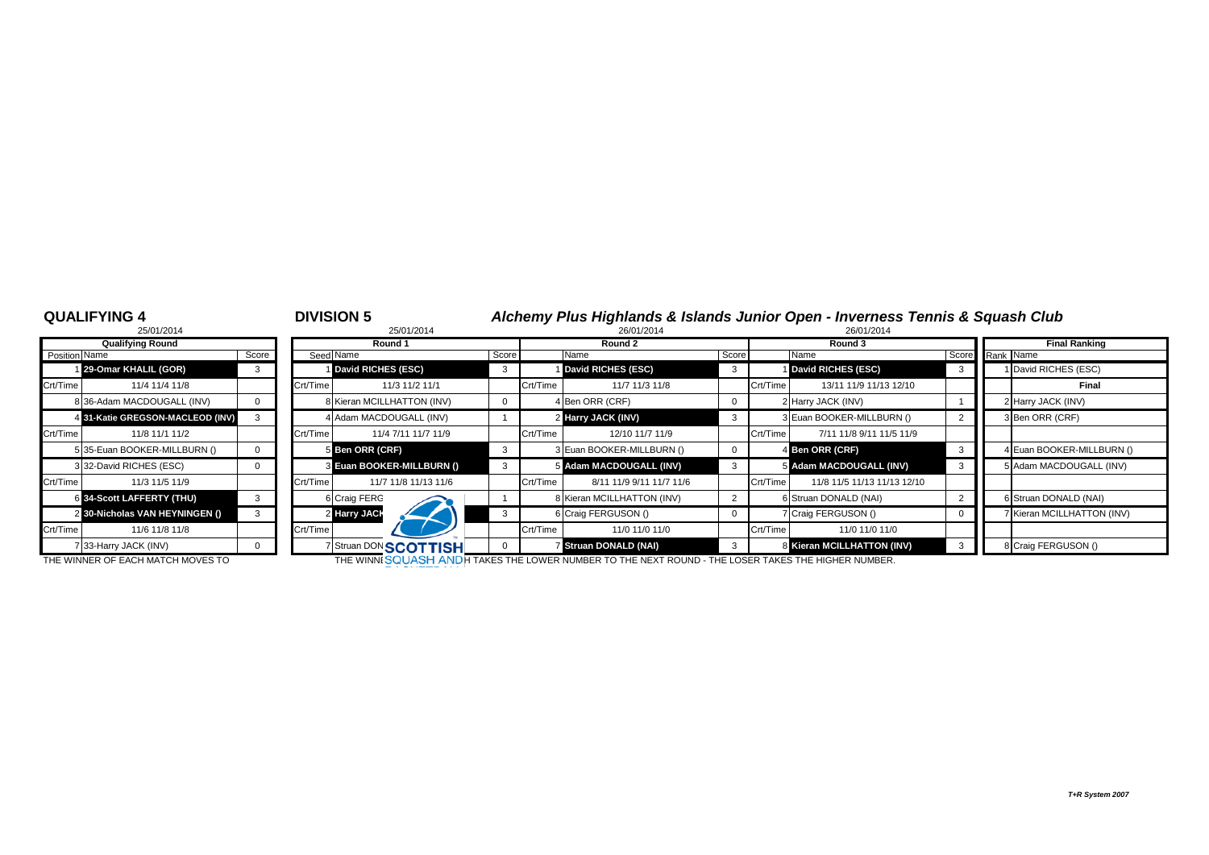# **QUALIFYING 4** <sup>4</sup> **DIVISION 5** *Alchemy Plus Highlands & Islands Junior Open - Inverness Tennis & Squash Club* 25/01/2014 8 25/01/2014 26/01/2014 26/01/2014

|                      | 25/01/2014                       |       |
|----------------------|----------------------------------|-------|
|                      | <b>Qualifying Round</b>          |       |
| <b>Position Name</b> |                                  | Score |
|                      | 129-Omar KHALIL (GOR)            | 3     |
| Crt/Time             | 11/4 11/4 11/8                   |       |
|                      | 8 36-Adam MACDOUGALL (INV)       | 0     |
|                      | 4 31-Katie GREGSON-MACLEOD (INV) | 3     |
| Crt/Time             | 11/8 11/1 11/2                   |       |
|                      | 5 35-Euan BOOKER-MILLBURN ()     | 0     |
|                      | 3 32-David RICHES (ESC)          | 0     |
| Crt/Time             | 11/3 11/5 11/9                   |       |
|                      | 6 34-Scott LAFFERTY (THU)        | 3     |
|                      | 2 30-Nicholas VAN HEYNINGEN ()   | 3     |
| Crt/Time             | 11/6 11/8 11/8                   |       |
|                      | 7 33-Harry JACK (INV)            | 0     |

|               | 20/01/2014                       |       |          | 20/01/2014                   |             |          | 20/01/2014                 |       |          | <b>20/01/2014</b>           |                 |                            |
|---------------|----------------------------------|-------|----------|------------------------------|-------------|----------|----------------------------|-------|----------|-----------------------------|-----------------|----------------------------|
|               | <b>Qualifying Round</b>          |       |          | Round 1                      |             |          | Round 2                    |       |          | Round 3                     |                 | <b>Final Ranking</b>       |
| Position Name |                                  | Score |          | Seed Name                    | Score       |          | Name                       | Score |          | Name                        | Score Rank Name |                            |
|               | 129-Omar KHALIL (GOR)            |       |          | David RICHES (ESC)           |             |          | David RICHES (ESC)         |       |          | <b>David RICHES (ESC)</b>   |                 | I David RICHES (ESC)       |
| Crt/Time      | 11/4 11/4 11/8                   |       | Crt/Time | 11/3 11/2 11/1               |             | Crt/Time | 11/7 11/3 11/8             |       | Crt/Time | 13/11 11/9 11/13 12/10      |                 | Final                      |
|               | 8 36-Adam MACDOUGALL (INV)       |       |          | 8 Kieran MCILLHATTON (INV)   | $\mathbf 0$ |          | 4 Ben ORR (CRF)            |       |          | 2 Harry JACK (INV)          |                 | 2 Harry JACK (INV)         |
|               | 4 31-Katie GREGSON-MACLEOD (INV) |       |          | 4 Adam MACDOUGALL (INV)      |             |          | 2 Harry JACK (INV)         |       |          | 3 Euan BOOKER-MILLBURN ()   |                 | 3 Ben ORR (CRF)            |
| Crt/Time      | 11/8 11/1 11/2                   |       | Crt/Time | 11/4 7/11 11/7 11/9          |             | Crt/Time | 12/10 11/7 11/9            |       | Crt/Time | 7/11 11/8 9/11 11/5 11/9    |                 |                            |
|               | 5 35-Euan BOOKER-MILLBURN ()     |       |          | 5 Ben ORR (CRF)              |             |          | 3 Euan BOOKER-MILLBURN ()  |       |          | 4 Ben ORR (CRF)             |                 | 4 Euan BOOKER-MILLBURN ()  |
|               | 332-David RICHES (ESC)           |       |          | 3 Euan BOOKER-MILLBURN ()    | 3           |          | 5 Adam MACDOUGALL (INV)    |       |          | 5 Adam MACDOUGALL (INV)     |                 | 5 Adam MACDOUGALL (INV)    |
| Crt/Time      | 11/3 11/5 11/9                   |       | Crt/Time | 11/7 11/8 11/13 11/6         |             | Crt/Time | 8/11 11/9 9/11 11/7 11/6   |       | Crt/Time | 11/8 11/5 11/13 11/13 12/10 |                 |                            |
|               | 6 34-Scott LAFFERTY (THU)        |       |          | 6 Craig FERG                 |             |          | 8 Kieran MCILLHATTON (INV) |       |          | 6 Struan DONALD (NAI)       |                 | 6 Struan DONALD (NAI)      |
|               | 2 30-Nicholas VAN HEYNINGEN ()   |       |          | 2 Harry JACK                 | - 3         |          | 6 Craig FERGUSON ()        |       |          | 7 Craig FERGUSON ()         |                 | 7 Kieran MCILLHATTON (INV) |
| Crt/Time      | 11/6 11/8 11/8                   |       | Crt/Time |                              |             | Crt/Time | 11/0 11/0 11/0             |       | Crt/Time | 11/0 11/0 11/0              |                 |                            |
|               | 733-Harry JACK (INV)             |       |          | 7 Struan DON <b>SCOTTISH</b> | $\mathbf 0$ |          | 7 Struan DONALD (NAI)      |       |          | 8 Kieran MCILLHATTON (INV)  |                 | 8 Craig FERGUSON ()        |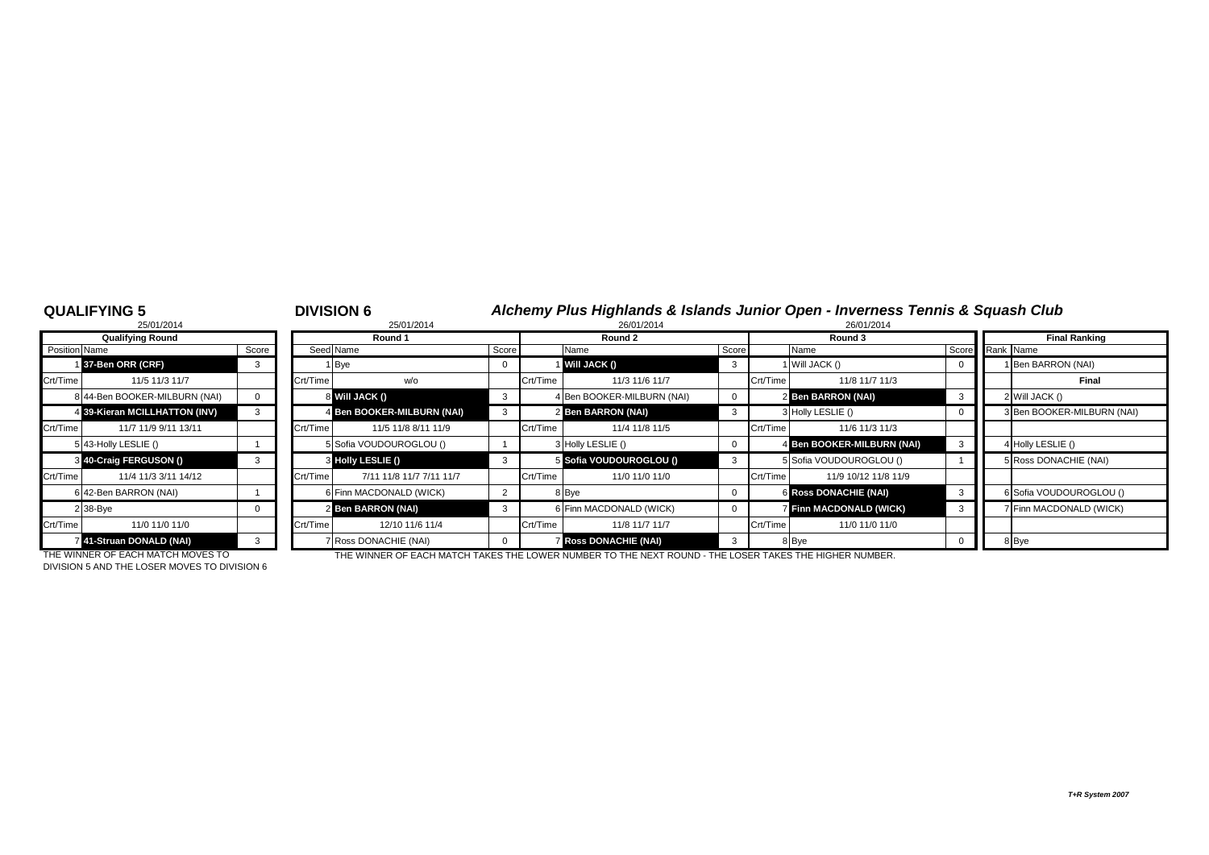# **QUALIFYING 5** <sup>5</sup> **DIVISION 6** *Alchemy Plus Highlands & Islands Junior Open - Inverness Tennis & Squash Club* 25/01/2014 8 25/01/2014 26/01/2014 26/01/2014

|                      | 25/01/2014                    |       |
|----------------------|-------------------------------|-------|
|                      | <b>Qualifying Round</b>       |       |
| <b>Position Name</b> |                               | Score |
|                      | 37-Ben ORR (CRF)              | 3     |
| Crt/Time             | 11/5 11/3 11/7                |       |
|                      | 8 44-Ben BOOKER-MILBURN (NAI) | 0     |
|                      | 4 39-Kieran MCILLHATTON (INV) | 3     |
| Crt/Time             | 11/7 11/9 9/11 13/11          |       |
|                      | 5 43-Holly LESLIE ()          | 1     |
| 3                    | 40-Craig FERGUSON ()          | 3     |
| Crt/Time             | 11/4 11/3 3/11 14/12          |       |
|                      | 6 42-Ben BARRON (NAI)         |       |
|                      | 2 38-Bye                      | O     |
| Crt/Time             | 11/0 11/0 11/0                |       |
|                      | 741-Struan DONALD (NAI)       | 3     |

|               | <b>Qualifying Round</b>       |       |          | Round 1                    |                         |          | Round 2                    |       |          | Round 3                      | <b>Final Ranking</b>       |
|---------------|-------------------------------|-------|----------|----------------------------|-------------------------|----------|----------------------------|-------|----------|------------------------------|----------------------------|
| Position Name |                               | Score |          | Seed Name                  | Score                   |          | Name                       | Score |          | Name                         | Score Rank Name            |
|               | 37-Ben ORR (CRF)              |       |          | 1 Bye                      | $\mathbf{0}$            |          | <b>Will JACK ()</b>        | - 3   |          | 1 Will JACK ()               | I Ben BARRON (NAI)         |
| Crt/Time      | 11/5 11/3 11/7                |       | Crt/Time | w/o                        |                         | Crt/Time | 11/3 11/6 11/7             |       | Crt/Time | 11/8 11/7 11/3               | Final                      |
|               | 8 44-Ben BOOKER-MILBURN (NAI) |       |          | 8 Will JACK ()             | $\overline{\mathbf{3}}$ |          | 4 Ben BOOKER-MILBURN (NAI) |       |          | 2 Ben BARRON (NAI)           | 2 Will JACK ()             |
|               | 4 39-Kieran MCILLHATTON (INV) |       |          | 4 Ben BOOKER-MILBURN (NAI) | 3                       |          | 2 Ben BARRON (NAI)         |       |          | 3 Holly LESLIE ()            | 3 Ben BOOKER-MILBURN (NAI) |
| Crt/Time      | 11/7 11/9 9/11 13/11          |       | Crt/Time | 11/5 11/8 8/11 11/9        |                         | Crt/Time | 11/4 11/8 11/5             |       | Crt/Time | 11/6 11/3 11/3               |                            |
|               | 5 43-Holly LESLIE ()          |       |          | 5 Sofia VOUDOUROGLOU ()    |                         |          | 3 Holly LESLIE ()          |       |          | 4 Ben BOOKER-MILBURN (NAI)   | 4 Holly LESLIE ()          |
|               | 3 40-Craig FERGUSON ()        |       |          | 3 Holly LESLIE ()          |                         |          | 5 Sofia VOUDOUROGLOU ()    |       |          | 5 Sofia VOUDOUROGLOU ()      | 5 Ross DONACHIE (NAI)      |
| Crt/Time      | 11/4 11/3 3/11 14/12          |       | Crt/Time | 7/11 11/8 11/7 7/11 11/7   |                         | Crt/Time | 11/0 11/0 11/0             |       | Crt/Time | 11/9 10/12 11/8 11/9         |                            |
|               | 6 42-Ben BARRON (NAI)         |       |          | 6 Finn MACDONALD (WICK)    | $\overline{2}$          |          | 8 Bye                      |       |          | <b>6 Ross DONACHIE (NAI)</b> | 6 Sofia VOUDOUROGLOU ()    |
|               | 2 38-Bye                      |       |          | 2 Ben BARRON (NAI)         |                         |          | 6 Finn MACDONALD (WICK)    |       |          | 7 Finn MACDONALD (WICK)      | 7 Finn MACDONALD (WICK)    |
| Crt/Time      | 11/0 11/0 11/0                |       | Crt/Time | 12/10 11/6 11/4            |                         | Crt/Time | 11/8 11/7 11/7             |       | Crt/Time | 11/0 11/0 11/0               |                            |
|               | 41-Struan DONALD (NAI)        |       |          | 7 Ross DONACHIE (NAI)      |                         |          | <b>Ross DONACHIE (NAI)</b> |       |          | 8 Bye                        | 8 Bye                      |

DIVISION 5 AND THE LOSER MOVES TO DIVISION 6